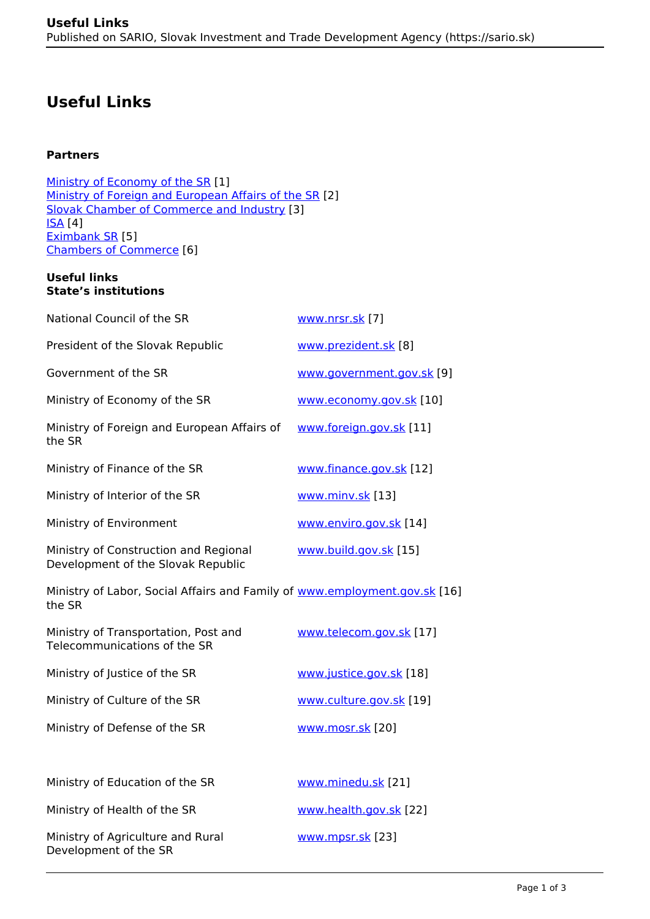# **Useful Links**

## **Partners**

[Ministry of Economy of the SR](https://www.mhsr.sk/home/126312s) [1] [Ministry of Foreign and European Affairs of the SR](https://www.mzv.sk/en/home) [2] [Slovak Chamber of Commerce and Industry](https://web.scci.sk/index.php) [3] [ISA](https://isa-association.sk/en/) [4] [Eximbank SR](https://www.eximbanka.sk/en.html?page_id=93) [5] [Chambers of Commerce](https://www.sario.sk/drupal/sites/default/files/content/files/Partners%20-%20Chamber%20of%20Commerce.pdf) [6]

#### **Useful links State's institutions**

| National Council of the SR                                                           | www.nrsr.sk [7]           |
|--------------------------------------------------------------------------------------|---------------------------|
| President of the Slovak Republic                                                     | www.prezident.sk [8]      |
| Government of the SR                                                                 | www.government.gov.sk [9] |
| Ministry of Economy of the SR                                                        | www.economy.gov.sk [10]   |
| Ministry of Foreign and European Affairs of<br>the SR                                | www.foreign.gov.sk [11]   |
| Ministry of Finance of the SR                                                        | www.finance.gov.sk [12]   |
| Ministry of Interior of the SR                                                       | www.minv.sk [13]          |
| Ministry of Environment                                                              | www.enviro.gov.sk [14]    |
| Ministry of Construction and Regional<br>Development of the Slovak Republic          | www.build.gov.sk [15]     |
| Ministry of Labor, Social Affairs and Family of www.employment.gov.sk [16]<br>the SR |                           |
| Ministry of Transportation, Post and<br>Telecommunications of the SR                 | www.telecom.gov.sk [17]   |
| Ministry of Justice of the SR                                                        | www.justice.gov.sk [18]   |
| Ministry of Culture of the SR                                                        | www.culture.gov.sk [19]   |
| Ministry of Defense of the SR                                                        | www.mosr.sk [20]          |
|                                                                                      |                           |
| Ministry of Education of the SR                                                      | www.minedu.sk [21]        |
| Ministry of Health of the SR                                                         | www.health.gov.sk [22]    |
| Ministry of Agriculture and Rural<br>Development of the SR                           | www.mpsr.sk [23]          |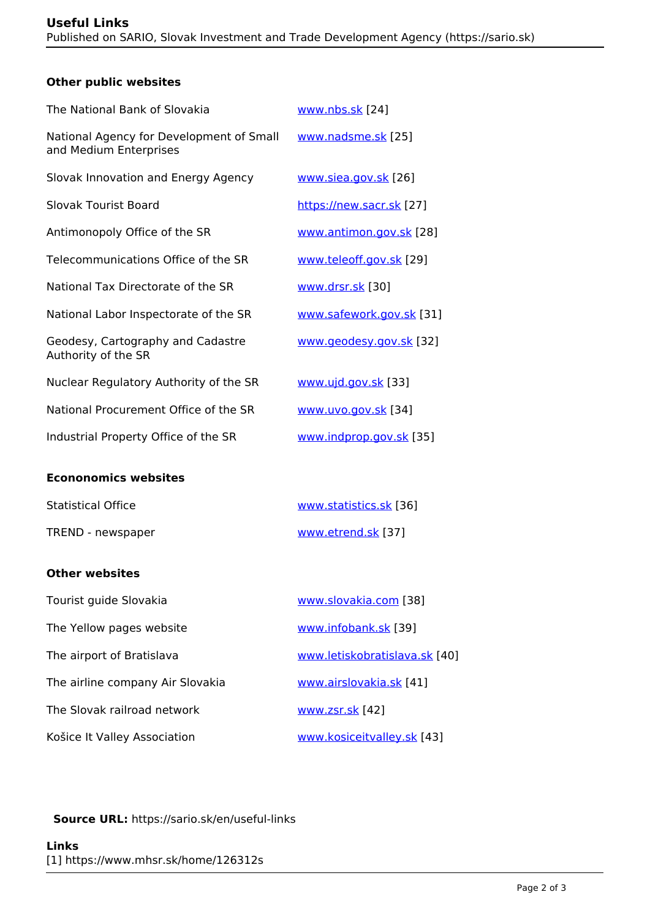# **Other public websites**

| The National Bank of Slovakia                                      | www.nbs.sk [24]          |
|--------------------------------------------------------------------|--------------------------|
| National Agency for Development of Small<br>and Medium Enterprises | www.nadsme.sk [25]       |
| Slovak Innovation and Energy Agency                                | www.siea.gov.sk [26]     |
| Slovak Tourist Board                                               | https://new.sacr.sk [27] |
| Antimonopoly Office of the SR                                      | www.antimon.gov.sk [28]  |
| Telecommunications Office of the SR                                | www.teleoff.gov.sk [29]  |
| National Tax Directorate of the SR                                 | www.drsr.sk [30]         |
| National Labor Inspectorate of the SR                              | www.safework.gov.sk [31] |
| Geodesy, Cartography and Cadastre<br>Authority of the SR           | www.geodesy.gov.sk [32]  |
| Nuclear Regulatory Authority of the SR                             | www.ujd.gov.sk [33]      |
| National Procurement Office of the SR                              | www.uvo.gov.sk [34]      |
| Industrial Property Office of the SR                               | www.indprop.gov.sk [35]  |
|                                                                    |                          |

# **Econonomics websites**

| <b>Statistical Office</b> | www.statistics.sk [36] |
|---------------------------|------------------------|
| TREND - newspaper         | www.etrend.sk [37]     |

## **Other websites**

| Tourist guide Slovakia           | www.slovakia.com [38]         |
|----------------------------------|-------------------------------|
| The Yellow pages website         | www.infobank.sk [39]          |
| The airport of Bratislava        | www.letiskobratislava.sk [40] |
| The airline company Air Slovakia | www.airslovakia.sk [41]       |
| The Slovak railroad network      | www.zsr.sk [42]               |
| Košice It Valley Association     | www.kosiceitvalley.sk [43]    |

**Source URL:** https://sario.sk/en/useful-links